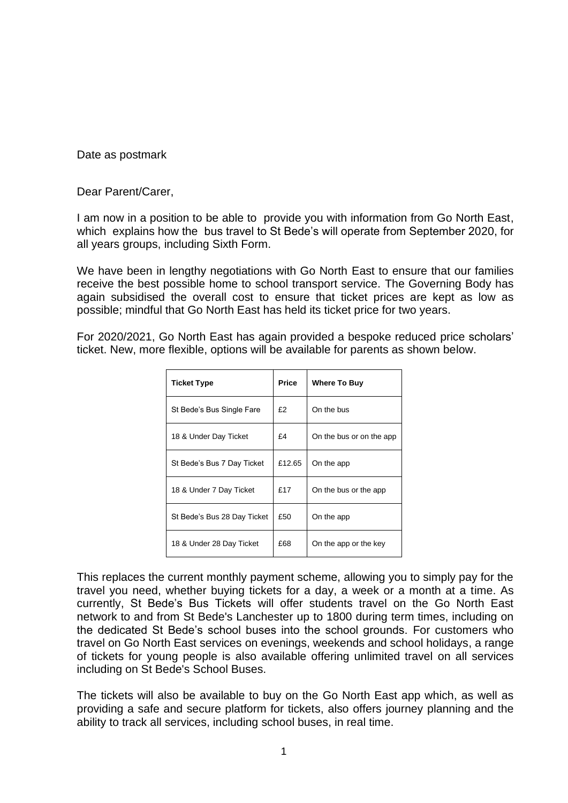Date as postmark

Dear Parent/Carer,

I am now in a position to be able to provide you with information from Go North East, which explains how the bus travel to St Bede's will operate from September 2020, for all years groups, including Sixth Form.

We have been in lengthy negotiations with Go North East to ensure that our families receive the best possible home to school transport service. The Governing Body has again subsidised the overall cost to ensure that ticket prices are kept as low as possible; mindful that Go North East has held its ticket price for two years.

For 2020/2021, Go North East has again provided a bespoke reduced price scholars' ticket. New, more flexible, options will be available for parents as shown below.

| <b>Ticket Type</b>          | <b>Price</b> | <b>Where To Buy</b>      |
|-----------------------------|--------------|--------------------------|
| St Bede's Bus Single Fare   | £2           | On the bus               |
| 18 & Under Day Ticket       | £4           | On the bus or on the app |
| St Bede's Bus 7 Day Ticket  | £12.65       | On the app               |
| 18 & Under 7 Day Ticket     | £17          | On the bus or the app    |
| St Bede's Bus 28 Day Ticket | £50          | On the app               |
| 18 & Under 28 Day Ticket    | £68          | On the app or the key    |

This replaces the current monthly payment scheme, allowing you to simply pay for the travel you need, whether buying tickets for a day, a week or a month at a time. As currently, St Bede's Bus Tickets will offer students travel on the Go North East network to and from St Bede's Lanchester up to 1800 during term times, including on the dedicated St Bede's school buses into the school grounds. For customers who travel on Go North East services on evenings, weekends and school holidays, a range of tickets for young people is also available offering unlimited travel on all services including on St Bede's School Buses.

The tickets will also be available to buy on the Go North East app which, as well as providing a safe and secure platform for tickets, also offers journey planning and the ability to track all services, including school buses, in real time.